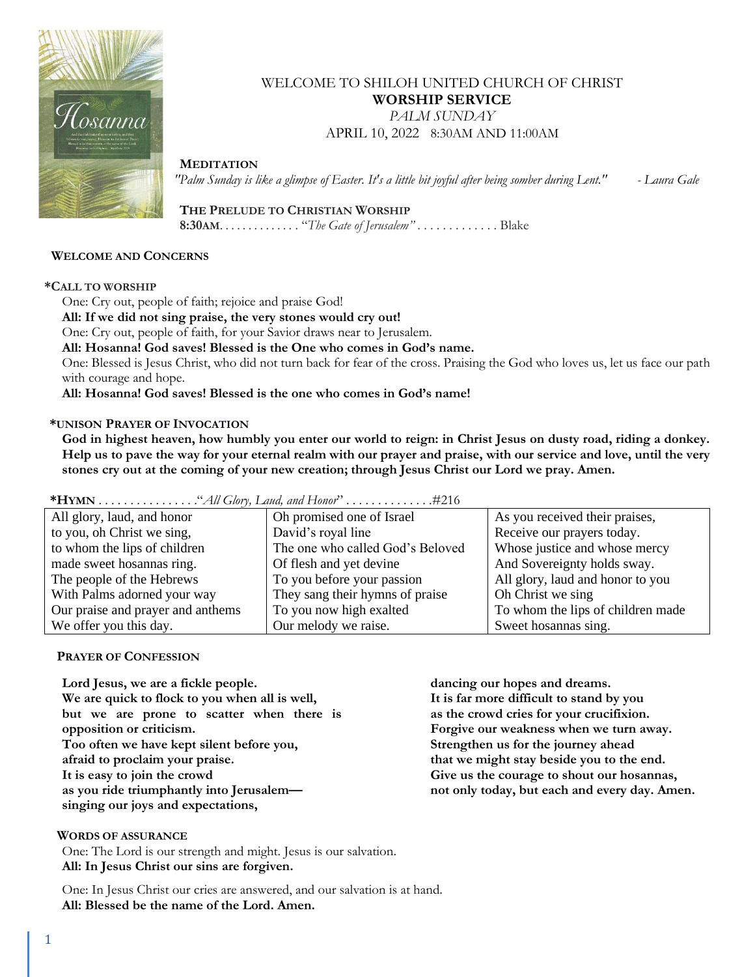

## WELCOME TO SHILOH UNITED CHURCH OF CHRIST **WORSHIP SERVICE** *PALM SUNDAY* APRIL 10, 2022 8:30AM AND 11:00AM

 **MEDITATION**

*"Palm Sunday is like a glimpse of Easter. It's a little bit joyful after being somber during Lent." - Laura Gale*

 **THE PRELUDE TO CHRISTIAN WORSHIP 8:30AM**. . . . . . . . . . . . . . "*The Gate of Jerusalem"* . . . . . . . . . . . . . Blake

#### **WELCOME AND CONCERNS**

#### **\*CALL TO WORSHIP**

One: Cry out, people of faith; rejoice and praise God!

**All: If we did not sing praise, the very stones would cry out!**

One: Cry out, people of faith, for your Savior draws near to Jerusalem.

**All: Hosanna! God saves! Blessed is the One who comes in God's name.** 

One: Blessed is Jesus Christ, who did not turn back for fear of the cross. Praising the God who loves us, let us face our path with courage and hope.

**All: Hosanna! God saves! Blessed is the one who comes in God's name!**

#### **\*UNISON PRAYER OF INVOCATION**

**God in highest heaven, how humbly you enter our world to reign: in Christ Jesus on dusty road, riding a donkey. Help us to pave the way for your eternal realm with our prayer and praise, with our service and love, until the very stones cry out at the coming of your new creation; through Jesus Christ our Lord we pray. Amen.**

| All glory, laud, and honor        | Oh promised one of Israel        | As you received their praises,    |
|-----------------------------------|----------------------------------|-----------------------------------|
| to you, oh Christ we sing,        | David's royal line               | Receive our prayers today.        |
| to whom the lips of children      | The one who called God's Beloved | Whose justice and whose mercy     |
| made sweet hosannas ring.         | Of flesh and yet devine          | And Sovereignty holds sway.       |
| The people of the Hebrews         | To you before your passion       | All glory, laud and honor to you  |
| With Palms adorned your way       | They sang their hymns of praise  | Oh Christ we sing                 |
| Our praise and prayer and anthems | To you now high exalted          | To whom the lips of children made |
| We offer you this day.            | Our melody we raise.             | Sweet hosannas sing.              |

**\*HYMN** . . . . . . . . . . . . . . . ."*All Glory, Laud, and Honor*" . . . . . . . . . . . . . .#216

#### **PRAYER OF CONFESSION**

**Lord Jesus, we are a fickle people. We are quick to flock to you when all is well, but we are prone to scatter when there is opposition or criticism. Too often we have kept silent before you, afraid to proclaim your praise. It is easy to join the crowd as you ride triumphantly into Jerusalem singing our joys and expectations,**

**dancing our hopes and dreams. It is far more difficult to stand by you as the crowd cries for your crucifixion. Forgive our weakness when we turn away. Strengthen us for the journey ahead that we might stay beside you to the end. Give us the courage to shout our hosannas, not only today, but each and every day. Amen.**

 **WORDS OF ASSURANCE**

One: The Lord is our strength and might. Jesus is our salvation. **All: In Jesus Christ our sins are forgiven.**

One: In Jesus Christ our cries are answered, and our salvation is at hand. **All: Blessed be the name of the Lord. Amen.**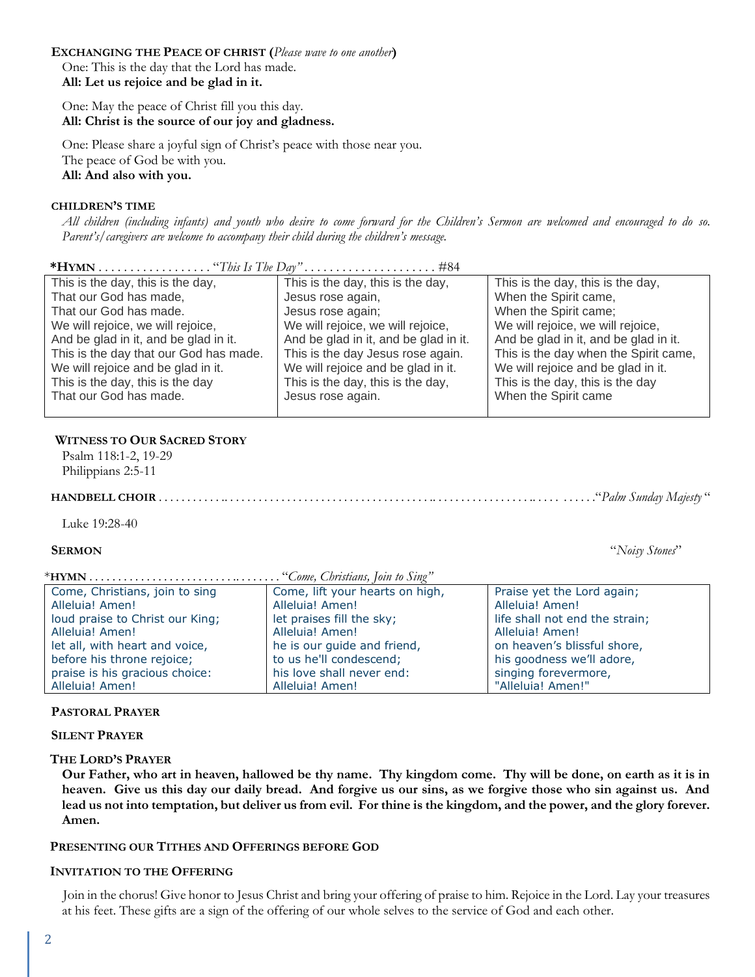### **EXCHANGING THE PEACE OF CHRIST (***Please wave to one another***)**

One: This is the day that the Lord has made. **All: Let us rejoice and be glad in it.**

One: May the peace of Christ fill you this day. **All: Christ is the source of our joy and gladness.**

One: Please share a joyful sign of Christ's peace with those near you. The peace of God be with you. **All: And also with you.**

#### **CHILDREN'S TIME**

*All children (including infants) and youth who desire to come forward for the Children's Sermon are welcomed and encouraged to do so. Parent's/caregivers are welcome to accompany their child during the children's message.*

| This is the day, this is the day,      | This is the day, this is the day,     | This is the day, this is the day,     |
|----------------------------------------|---------------------------------------|---------------------------------------|
| That our God has made,                 | Jesus rose again,                     | When the Spirit came,                 |
| That our God has made.                 | Jesus rose again;                     | When the Spirit came;                 |
| We will rejoice, we will rejoice,      | We will rejoice, we will rejoice,     | We will rejoice, we will rejoice,     |
| And be glad in it, and be glad in it.  | And be glad in it, and be glad in it. | And be glad in it, and be glad in it. |
| This is the day that our God has made. | This is the day Jesus rose again.     | This is the day when the Spirit came, |
| We will rejoice and be glad in it.     | We will rejoice and be glad in it.    | We will rejoice and be glad in it.    |
| This is the day, this is the day       | This is the day, this is the day,     | This is the day, this is the day      |
| That our God has made.                 | Jesus rose again.                     | When the Spirit came                  |
|                                        |                                       |                                       |

**\*HYMN** . . . . . . . . . . . . . . . . . . "*This Is The Day" . . . . . . . . . . . . . . . . . . . . .* #84

## **WITNESS TO OUR SACRED STORY**

Psalm 118:1-2, 19-29 Philippians 2:5-11

 **HANDBELL CHOIR** . . . . . . . . . . . .. . . . . . . . . . . . . . . . . . . . . . . . . . . . . . . . . . . . .. . . . . . . . . . . . . . . . . .. . . . . . . . . . ."*Palm Sunday Majesty* "

Luke 19:28-40

#### **SERMON** "*Noisy Stones*"

\***HYMN** . . . . . . . . . . . . . . . . . . . . . . . . . .. . . . . . . . "*Come, Christians, Join to Sing"*

| Come, Christians, join to sing  | Come, lift your hearts on high, | Praise yet the Lord again;     |  |
|---------------------------------|---------------------------------|--------------------------------|--|
| Alleluia! Amen!                 | Alleluia! Amen!                 | Alleluia! Amen!                |  |
| loud praise to Christ our King; | let praises fill the sky;       | life shall not end the strain; |  |
| Alleluia! Amen!                 | Alleluia! Amen!                 | Alleluia! Amen!                |  |
| let all, with heart and voice,  | he is our guide and friend,     | on heaven's blissful shore,    |  |
| before his throne rejoice;      | to us he'll condescend;         | his goodness we'll adore,      |  |
| praise is his gracious choice:  | his love shall never end:       | singing forevermore,           |  |
| Alleluia! Amen!                 | Alleluia! Amen!                 | "Alleluia! Amen!"              |  |

#### **PASTORAL PRAYER**

#### **SILENT PRAYER**

#### **THE LORD'S PRAYER**

**Our Father, who art in heaven, hallowed be thy name. Thy kingdom come. Thy will be done, on earth as it is in heaven. Give us this day our daily bread. And forgive us our sins, as we forgive those who sin against us. And lead us not into temptation, but deliver us from evil. For thine is the kingdom, and the power, and the glory forever. Amen.**

#### **PRESENTING OUR TITHES AND OFFERINGS BEFORE GOD**

#### **INVITATION TO THE OFFERING**

Join in the chorus! Give honor to Jesus Christ and bring your offering of praise to him. Rejoice in the Lord. Lay your treasures at his feet. These gifts are a sign of the offering of our whole selves to the service of God and each other.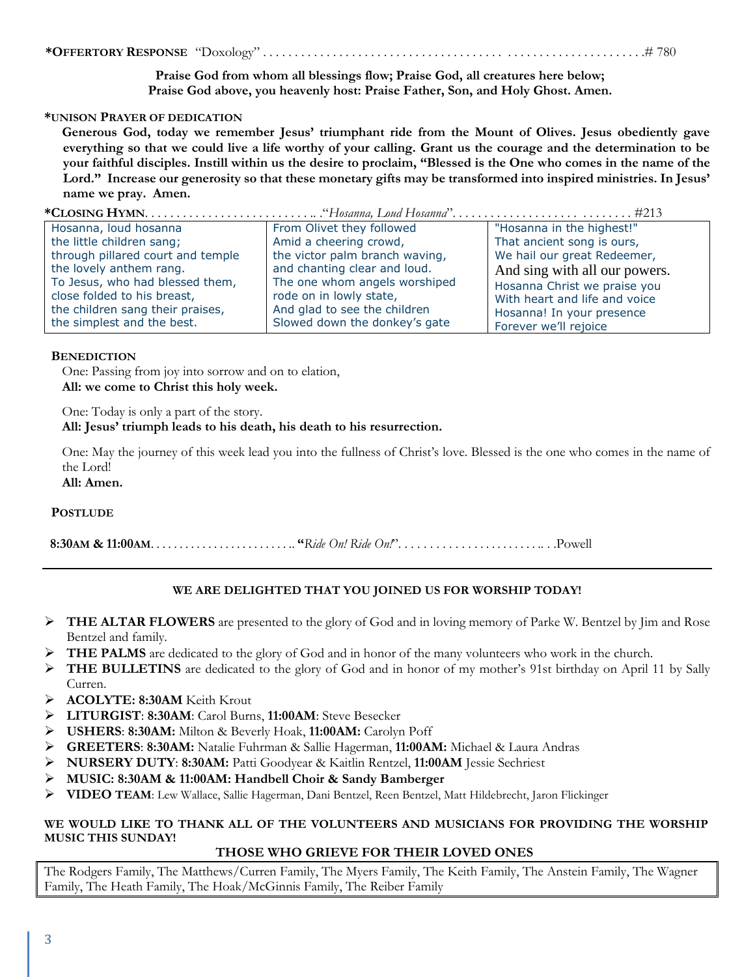### **\*OFFERTORY RESPONSE** "Doxology" . . . . . . . . . . . . . . . . . . . . . . . . . . . . . . . . . . . . . . . . . . . . . . . . . . . . . . . . . . . .# 780

**Praise God from whom all blessings flow; Praise God, all creatures here below; Praise God above, you heavenly host: Praise Father, Son, and Holy Ghost. Amen.**

#### **\*UNISON PRAYER OF DEDICATION**

**Generous God, today we remember Jesus' triumphant ride from the Mount of Olives. Jesus obediently gave everything so that we could live a life worthy of your calling. Grant us the courage and the determination to be your faithful disciples. Instill within us the desire to proclaim, "Blessed is the One who comes in the name of the Lord." Increase our generosity so that these monetary gifts may be transformed into inspired ministries. In Jesus' name we pray. Amen.**

## **\*CLOSING HYMN**. . . . . . . . . . . . . . . . . . . . . . . . . . .. ."*Hosanna, Loud Hosanna*". . . . . . . . . . . . . . . . . . . . . . . . . . . . #213

| Hosanna, loud hosanna             | From Olivet they followed      | "Hosanna in the highest!"     |
|-----------------------------------|--------------------------------|-------------------------------|
| the little children sang;         | Amid a cheering crowd,         | That ancient song is ours,    |
| through pillared court and temple | the victor palm branch waving, | We hail our great Redeemer,   |
| the lovely anthem rang.           | and chanting clear and loud.   | And sing with all our powers. |
| To Jesus, who had blessed them,   | The one whom angels worshiped  | Hosanna Christ we praise you  |
| close folded to his breast,       | rode on in lowly state,        | With heart and life and voice |
| the children sang their praises,  | And glad to see the children   | Hosanna! In your presence     |
| the simplest and the best.        | Slowed down the donkey's gate  | Forever we'll rejoice         |

#### **BENEDICTION**

One: Passing from joy into sorrow and on to elation, **All: we come to Christ this holy week.**

One: Today is only a part of the story.

### **All: Jesus' triumph leads to his death, his death to his resurrection.**

One: May the journey of this week lead you into the fullness of Christ's love. Blessed is the one who comes in the name of the Lord!

**All: Amen.**

#### **POSTLUDE**

 **8:30AM & 11:00AM**. . . . . . . . . . . . . . . . . . . . . . . . .. **"***Ride On! Ride On!*". . . . . . . . . . . . . . . . . . . . . . . .. . .Powell

## **WE ARE DELIGHTED THAT YOU JOINED US FOR WORSHIP TODAY!**

- ➢ **THE ALTAR FLOWERS** are presented to the glory of God and in loving memory of Parke W. Bentzel by Jim and Rose Bentzel and family.
- ➢ **THE PALMS** are dedicated to the glory of God and in honor of the many volunteers who work in the church.
- ➢ **THE BULLETINS** are dedicated to the glory of God and in honor of my mother's 91st birthday on April 11 by Sally Curren.
- ➢ **ACOLYTE: 8:30AM** Keith Krout
- ➢ **LITURGIST**: **8:30AM**: Carol Burns, **11:00AM**: Steve Besecker
- ➢ **USHERS**: **8:30AM:** Milton & Beverly Hoak, **11:00AM:** Carolyn Poff
- ➢ **GREETERS**: **8:30AM:** Natalie Fuhrman & Sallie Hagerman, **11:00AM:** Michael & Laura Andras
- ➢ **NURSERY DUTY**: **8:30AM:** Patti Goodyear & Kaitlin Rentzel, **11:00AM** Jessie Sechriest
- ➢ **MUSIC: 8:30AM & 11:00AM: Handbell Choir & Sandy Bamberger**
- ➢ **VIDEO TEAM**: Lew Wallace, Sallie Hagerman, Dani Bentzel, Reen Bentzel, Matt Hildebrecht, Jaron Flickinger

#### **WE WOULD LIKE TO THANK ALL OF THE VOLUNTEERS AND MUSICIANS FOR PROVIDING THE WORSHIP MUSIC THIS SUNDAY!**

#### **THOSE WHO GRIEVE FOR THEIR LOVED ONES**

The Rodgers Family, The Matthews/Curren Family, The Myers Family, The Keith Family, The Anstein Family, The Wagner Family, The Heath Family, The Hoak/McGinnis Family, The Reiber Family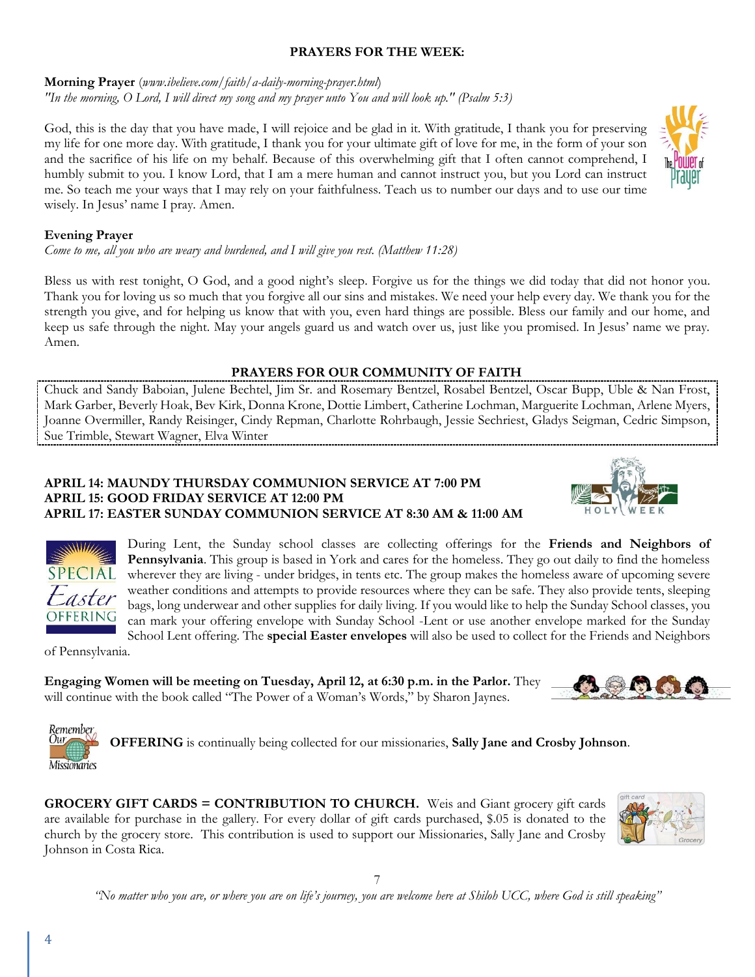## **PRAYERS FOR THE WEEK:**

**Morning Prayer** (*www.ibelieve.com/faith/a-daily-morning-prayer.html*) *"In the morning, O Lord, I will direct my song and my prayer unto You and will look up." (Psalm 5:3)*

God, this is the day that you have made, I will rejoice and be glad in it. With gratitude, I thank you for preserving my life for one more day. With gratitude, I thank you for your ultimate gift of love for me, in the form of your son and the sacrifice of his life on my behalf. Because of this overwhelming gift that I often cannot comprehend, I humbly submit to you. I know Lord, that I am a mere human and cannot instruct you, but you Lord can instruct me. So teach me your ways that I may rely on your faithfulness. Teach us to number our days and to use our time wisely. In Jesus' name I pray. Amen.



*Come to me, all you who are weary and burdened, and I will give you rest. (Matthew 11:28)*

Bless us with rest tonight, O God, and a good night's sleep. Forgive us for the things we did today that did not honor you. Thank you for loving us so much that you forgive all our sins and mistakes. We need your help every day. We thank you for the strength you give, and for helping us know that with you, even hard things are possible. Bless our family and our home, and keep us safe through the night. May your angels guard us and watch over us, just like you promised. In Jesus' name we pray. Amen.

## **PRAYERS FOR OUR COMMUNITY OF FAITH**

Chuck and Sandy Baboian, Julene Bechtel, Jim Sr. and Rosemary Bentzel, Rosabel Bentzel, Oscar Bupp, Uble & Nan Frost, Mark Garber, Beverly Hoak, Bev Kirk, Donna Krone, Dottie Limbert, Catherine Lochman, Marguerite Lochman, Arlene Myers, Joanne Overmiller, Randy Reisinger, Cindy Repman, Charlotte Rohrbaugh, Jessie Sechriest, Gladys Seigman, Cedric Simpson, Sue Trimble, Stewart Wagner, Elva Winter

## **APRIL 14: MAUNDY THURSDAY COMMUNION SERVICE AT 7:00 PM APRIL 15: GOOD FRIDAY SERVICE AT 12:00 PM APRIL 17: EASTER SUNDAY COMMUNION SERVICE AT 8:30 AM & 11:00 AM**





During Lent, the Sunday school classes are collecting offerings for the **Friends and Neighbors of Pennsylvania**. This group is based in York and cares for the homeless. They go out daily to find the homeless wherever they are living - under bridges, in tents etc. The group makes the homeless aware of upcoming severe weather conditions and attempts to provide resources where they can be safe. They also provide tents, sleeping bags, long underwear and other supplies for daily living. If you would like to help the Sunday School classes, you can mark your offering envelope with Sunday School -Lent or use another envelope marked for the Sunday School Lent offering. The **special Easter envelopes** will also be used to collect for the Friends and Neighbors

of Pennsylvania.

Our

**Engaging Women will be meeting on Tuesday, April 12, at 6:30 p.m. in the Parlor.** They will continue with the book called "The Power of a Woman's Words," by Sharon Jaynes.

Remember **OFFERING** is continually being collected for our missionaries, **Sally Jane and Crosby Johnson**. **Missionaries** 

**GROCERY GIFT CARDS = CONTRIBUTION TO CHURCH.** Weis and Giant grocery gift cards are available for purchase in the gallery. For every dollar of gift cards purchased, \$.05 is donated to the church by the grocery store. This contribution is used to support our Missionaries, Sally Jane and Crosby Johnson in Costa Rica.



7 *"No matter who you are, or where you are on life's journey, you are welcome here at Shiloh UCC, where God is still speaking"*